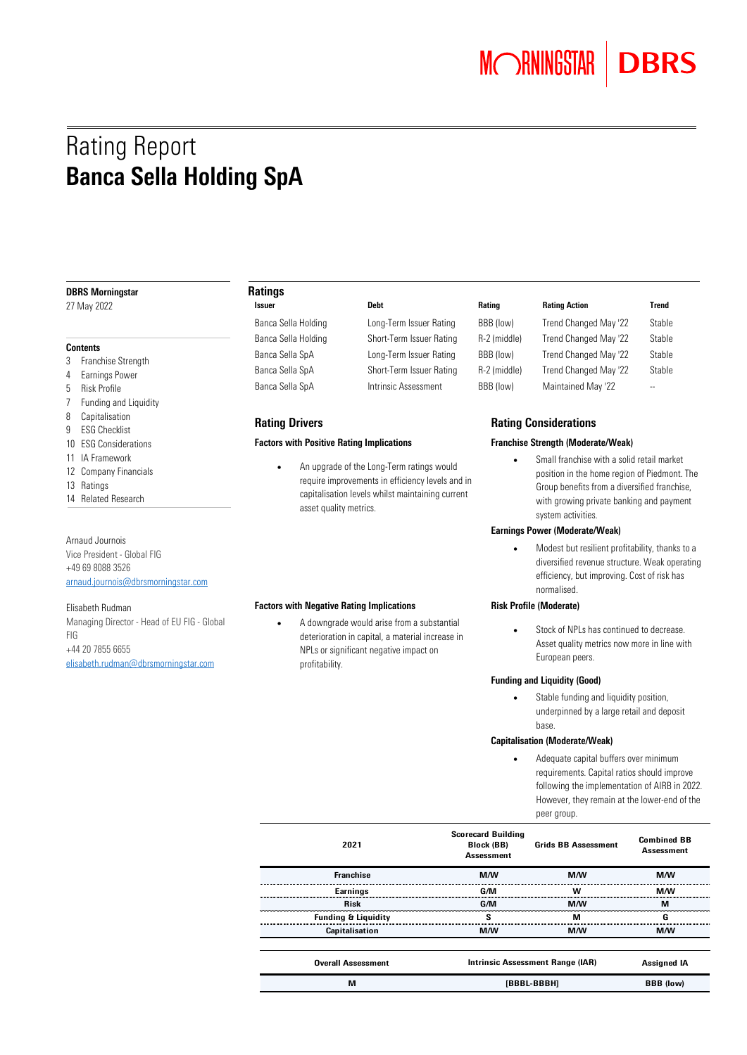## Rating Report Banca Sella Holding SpA

#### DBRS Morningstar

27 May 2022

### **Contents**

- 3 Franchise Strength
- 4 Earnings Power
- 5 Risk Profile
- 7 Funding and Liquidity
- 8 Capitalisation
- 9 ESG Checklist
- 10 ESG Considerations
- 11 IA Framework
- 12 Company Financials
- 13 Ratings
- 14 Related Research

### Arnaud Journois

Vice President - Global FIG +49 69 8088 3526 [arnaud.journois@dbrsmorningstar.com](mailto:arnaud.journois@dbrsmorningstar.com) 

#### Elisabeth Rudman

Managing Director - Head of EU FIG - Global FIG +44 20 7855 6655 [elisabeth.rudman@dbrsmorningstar.com](mailto:elisabeth.rudman@dbrsmorningstar.com) 

### Ratings

Banca Sella Holding Long-Term Issuer Rating BBB (low)

#### Factors with Positive Rating Implications Franchise Strength (Moderate/Weak)

• An upgrade of the Long-Term ratings would require improvements in efficiency levels and in capitalisation levels whilst maintaining current asset quality metrics.

#### Factors with Negative Rating Implications **Risk Profile (Moderate)**

• A downgrade would arise from a substantial deterioration in capital, a material increase in NPLs or significant negative impact on profitability.

Banca Sella Holding Short-Term Issuer Rating R-2 (middle) Banca Sella SpA Long-Term Issuer Rating BBB (low) Banca Sella SpA Short-Term Issuer Rating R-2 (middle) Banca Sella SpA **Intrinsic Assessment** BBB (low) Maintained May '22

## Issuer **Rating Rating Rating Action** Rating Action **Rating Action**

| Trend Changed May '22 | Stable |
|-----------------------|--------|
| Trend Changed May '22 | Stable |
| Trend Changed May '22 | Stable |
| Trend Changed May '22 | Stable |
| Maintained May '22    |        |

### Rating Drivers **Rating Considerations** Rating Considerations

• Small franchise with a solid retail market position in the home region of Piedmont. The Group benefits from a diversified franchise, with growing private banking and payment system activities.

#### Earnings Power (Moderate/Weak)

• Modest but resilient profitability, thanks to a diversified revenue structure. Weak operating efficiency, but improving. Cost of risk has normalised.

Stock of NPLs has continued to decrease. Asset quality metrics now more in line with European peers.

#### Funding and Liquidity (Good)

• Stable funding and liquidity position, underpinned by a large retail and deposit base.

#### Capitalisation (Moderate/Weak)

• Adequate capital buffers over minimum requirements. Capital ratios should improve following the implementation of AIRB in 2022. However, they remain at the lower-end of the peer group.

| 2021                           | <b>Scorecard Building</b><br>Block (BB)<br><b>Assessment</b> | <b>Grids BB Assessment</b>       | <b>Combined BB</b><br>Assessment |  |
|--------------------------------|--------------------------------------------------------------|----------------------------------|----------------------------------|--|
| <b>Franchise</b>               | <b>M/W</b>                                                   | <b>M/W</b>                       | <b>M/W</b>                       |  |
| Earnings                       | G/M                                                          | w                                | M/W                              |  |
| <b>Risk</b>                    | G/M                                                          | M/W                              | м                                |  |
| <b>Funding &amp; Liquidity</b> | s                                                            | м                                | G                                |  |
| Capitalisation                 | <b>M/W</b>                                                   | M/W                              | <b>M/W</b>                       |  |
| <b>Overall Assessment</b>      |                                                              | Intrinsic Assessment Range (IAR) | <b>Assigned IA</b>               |  |
| M                              |                                                              | [BBBL-BBBH]                      | <b>BBB</b> (low)                 |  |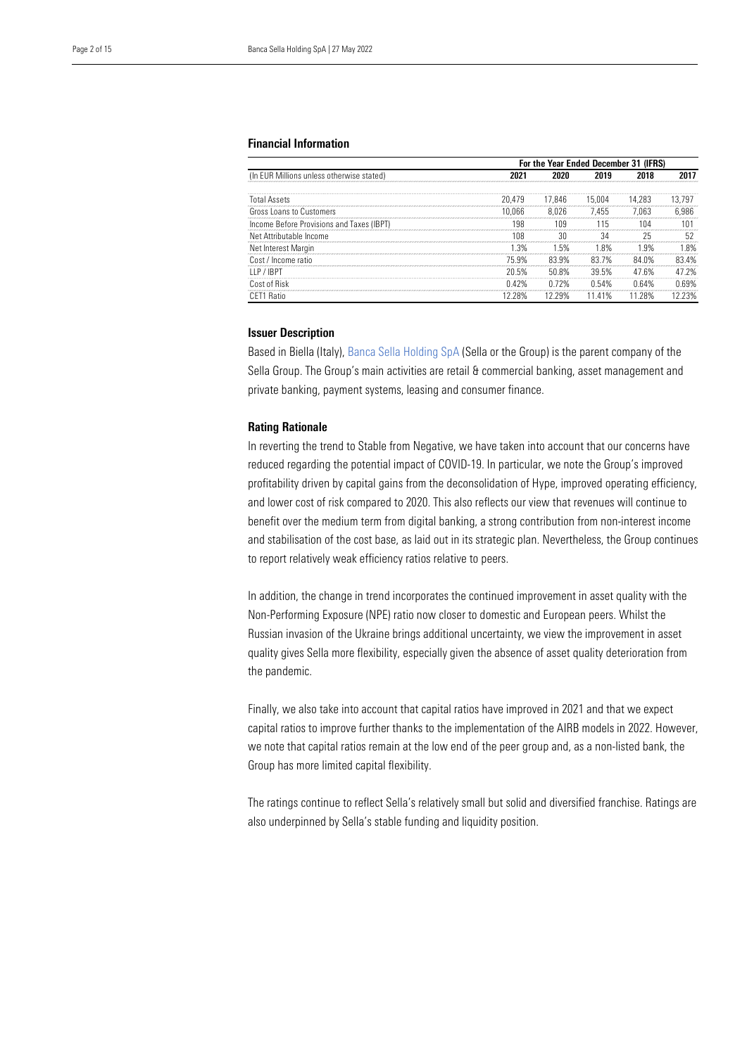#### Financial Information

|                                           |         | For the Year Ended December 31 (IFRS) |         |        |        |  |
|-------------------------------------------|---------|---------------------------------------|---------|--------|--------|--|
| (In EUR Millions unless otherwise stated) |         |                                       |         |        |        |  |
| <b>Total Assets</b>                       | 20.479  | 17.846                                | 15.004  | 14.283 | 13.797 |  |
| Gross Loans to Customers                  | 10.066  | 8.026                                 | 7.455   | 7.063  | 6.986  |  |
| Income Before Provisions and Taxes (IBPT) | 198     | 109                                   | 115     | 104    |        |  |
| Net Attributable Income                   | 108     | 30                                    | 34      | 25     | 52     |  |
| Net Interest Margin                       | 1.3%    | .5%                                   | 18%     | 1 9%   | 8%     |  |
| Cost / Income ratio                       | 75 9%   | 83.9%                                 | 83.7%   | 84.0%  | 834%   |  |
| I I P / IRPT                              | ንበ 5%   | 50.8%                                 | 39.5%   | 47 6%  | 47 2%  |  |
| Cost of Risk                              | 42%     |                                       |         | ነ 64%  | 69%    |  |
| 1 Ratin                                   | l 2 28% | 12 29%                                | 11 4 1% | 28%    | 23%    |  |

#### Issuer Description

Based in Biella (Italy)[, Banca Sella Holding SpA](https://www.dbrsmorningstar.com/issuers/19880) (Sella or the Group) is the parent company of the Sella Group. The Group's main activities are retail & commercial banking, asset management and private banking, payment systems, leasing and consumer finance.

#### Rating Rationale

In reverting the trend to Stable from Negative, we have taken into account that our concerns have reduced regarding the potential impact of COVID-19. In particular, we note the Group's improved profitability driven by capital gains from the deconsolidation of Hype, improved operating efficiency, and lower cost of risk compared to 2020. This also reflects our view that revenues will continue to benefit over the medium term from digital banking, a strong contribution from non-interest income and stabilisation of the cost base, as laid out in its strategic plan. Nevertheless, the Group continues to report relatively weak efficiency ratios relative to peers.

In addition, the change in trend incorporates the continued improvement in asset quality with the Non-Performing Exposure (NPE) ratio now closer to domestic and European peers. Whilst the Russian invasion of the Ukraine brings additional uncertainty, we view the improvement in asset quality gives Sella more flexibility, especially given the absence of asset quality deterioration from the pandemic.

Finally, we also take into account that capital ratios have improved in 2021 and that we expect capital ratios to improve further thanks to the implementation of the AIRB models in 2022. However, we note that capital ratios remain at the low end of the peer group and, as a non-listed bank, the Group has more limited capital flexibility.

The ratings continue to reflect Sella's relatively small but solid and diversified franchise. Ratings are also underpinned by Sella's stable funding and liquidity position.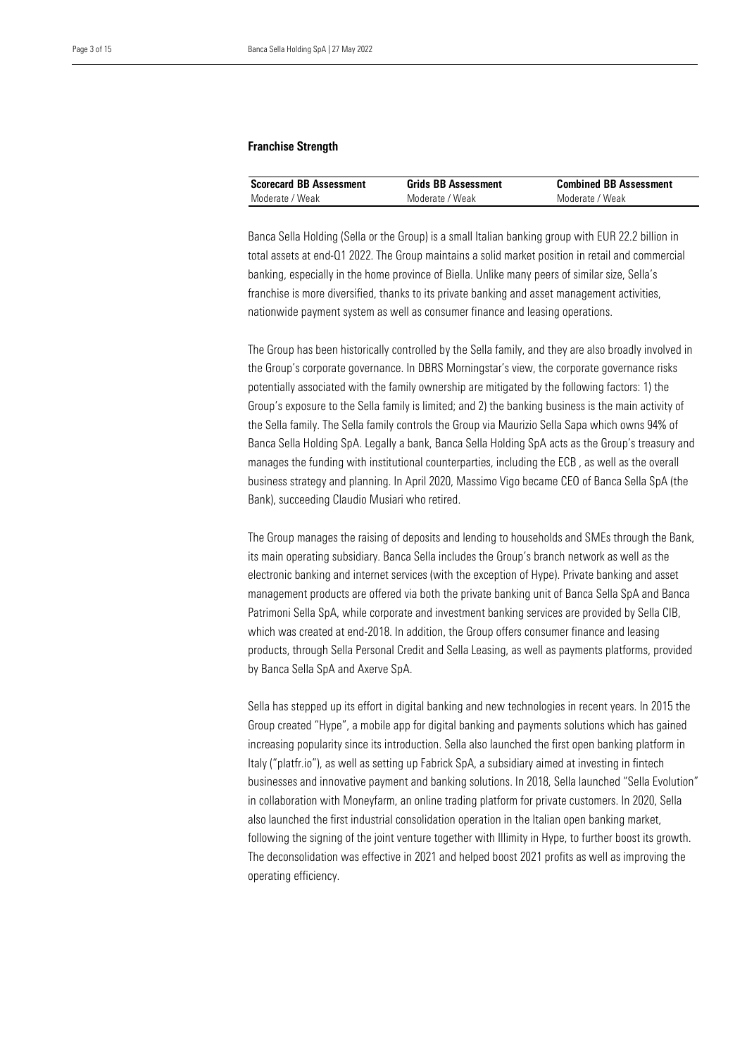#### Franchise Strength

| <b>Scorecard BB Assessment</b> | <b>Grids BB Assessment</b> | <b>Combined BB Assessment</b> |
|--------------------------------|----------------------------|-------------------------------|
| Moderate / Weak                | Moderate / Weak            | Moderate / Weak               |

 Banca Sella Holding (Sella or the Group) is a small Italian banking group with EUR 22.2 billion in total assets at end-Q1 2022. The Group maintains a solid market position in retail and commercial banking, especially in the home province of Biella. Unlike many peers of similar size, Sella's franchise is more diversified, thanks to its private banking and asset management activities, nationwide payment system as well as consumer finance and leasing operations.

The Group has been historically controlled by the Sella family, and they are also broadly involved in the Group's corporate governance. In DBRS Morningstar's view, the corporate governance risks potentially associated with the family ownership are mitigated by the following factors: 1) the Group's exposure to the Sella family is limited; and 2) the banking business is the main activity of the Sella family. The Sella family controls the Group via Maurizio Sella Sapa which owns 94% of Banca Sella Holding SpA. Legally a bank, Banca Sella Holding SpA acts as the Group's treasury and manages the funding with institutional counterparties, including the ECB , as well as the overall business strategy and planning. In April 2020, Massimo Vigo became CEO of Banca Sella SpA (the Bank), succeeding Claudio Musiari who retired.

The Group manages the raising of deposits and lending to households and SMEs through the Bank, its main operating subsidiary. Banca Sella includes the Group's branch network as well as the electronic banking and internet services (with the exception of Hype). Private banking and asset management products are offered via both the private banking unit of Banca Sella SpA and Banca Patrimoni Sella SpA, while corporate and investment banking services are provided by Sella CIB, which was created at end-2018. In addition, the Group offers consumer finance and leasing products, through Sella Personal Credit and Sella Leasing, as well as payments platforms, provided by Banca Sella SpA and Axerve SpA.

Sella has stepped up its effort in digital banking and new technologies in recent years. In 2015 the Group created "Hype", a mobile app for digital banking and payments solutions which has gained increasing popularity since its introduction. Sella also launched the first open banking platform in Italy ("platfr.io"), as well as setting up Fabrick SpA, a subsidiary aimed at investing in fintech businesses and innovative payment and banking solutions. In 2018, Sella launched "Sella Evolution" in collaboration with Moneyfarm, an online trading platform for private customers. In 2020, Sella also launched the first industrial consolidation operation in the Italian open banking market, following the signing of the joint venture together with Illimity in Hype, to further boost its growth. The deconsolidation was effective in 2021 and helped boost 2021 profits as well as improving the operating efficiency.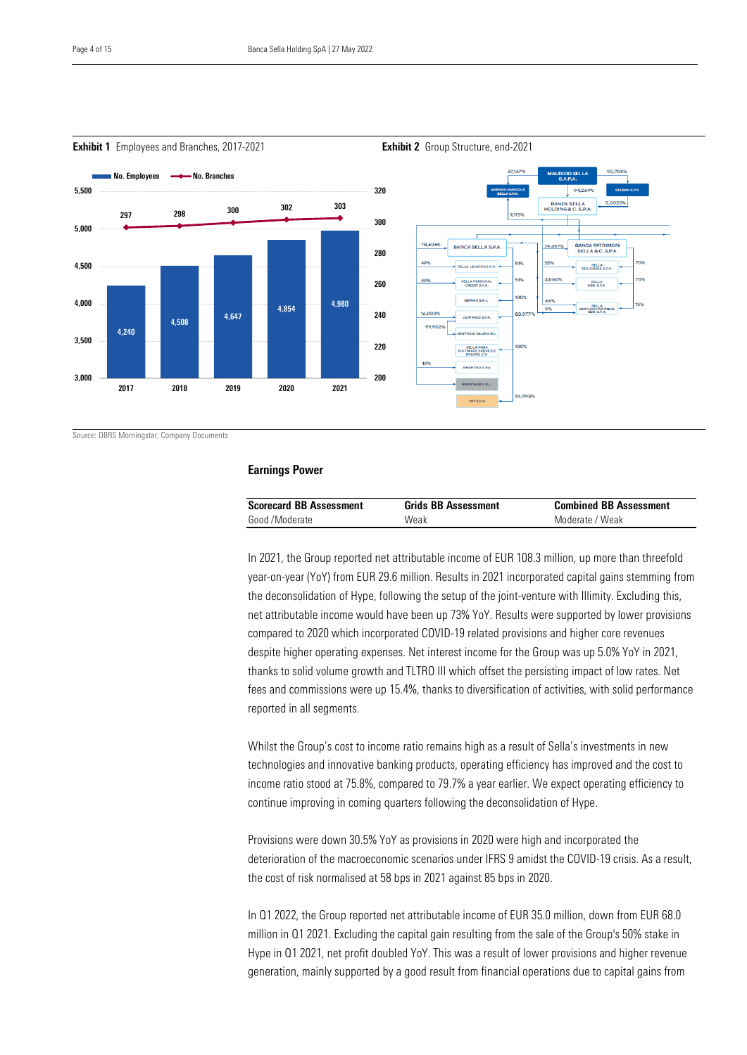$\overline{a}$ 



**Exhibit 1** Employees and Branches, 2017-2021 **Exhibit 2** Group Structure, end-2021

Source: DBRS Morningstar, Company Documents

#### Earnings Power

| <b>Scorecard BB Assessment</b> | <b>Grids BB Assessment</b> | <b>Combined BB Assessment</b> |
|--------------------------------|----------------------------|-------------------------------|
| Good /Moderate                 | Weak                       | Moderate / Weak               |

In 2021, the Group reported net attributable income of EUR 108.3 million, up more than threefold year-on-year (YoY) from EUR 29.6 million. Results in 2021 incorporated capital gains stemming from the deconsolidation of Hype, following the setup of the joint-venture with Illimity. Excluding this, net attributable income would have been up 73% YoY. Results were supported by lower provisions compared to 2020 which incorporated COVID-19 related provisions and higher core revenues despite higher operating expenses. Net interest income for the Group was up 5.0% YoY in 2021, thanks to solid volume growth and TLTRO III which offset the persisting impact of low rates. Net fees and commissions were up 15.4%, thanks to diversification of activities, with solid performance reported in all segments.

Whilst the Group's cost to income ratio remains high as a result of Sella's investments in new technologies and innovative banking products, operating efficiency has improved and the cost to income ratio stood at 75.8%, compared to 79.7% a year earlier. We expect operating efficiency to continue improving in coming quarters following the deconsolidation of Hype.

Provisions were down 30.5% YoY as provisions in 2020 were high and incorporated the deterioration of the macroeconomic scenarios under IFRS 9 amidst the COVID-19 crisis. As a result, the cost of risk normalised at 58 bps in 2021 against 85 bps in 2020.

In Q1 2022, the Group reported net attributable income of EUR 35.0 million, down from EUR 68.0 million in Q1 2021. Excluding the capital gain resulting from the sale of the Group's 50% stake in Hype in Q1 2021, net profit doubled YoY. This was a result of lower provisions and higher revenue generation, mainly supported by a good result from financial operations due to capital gains from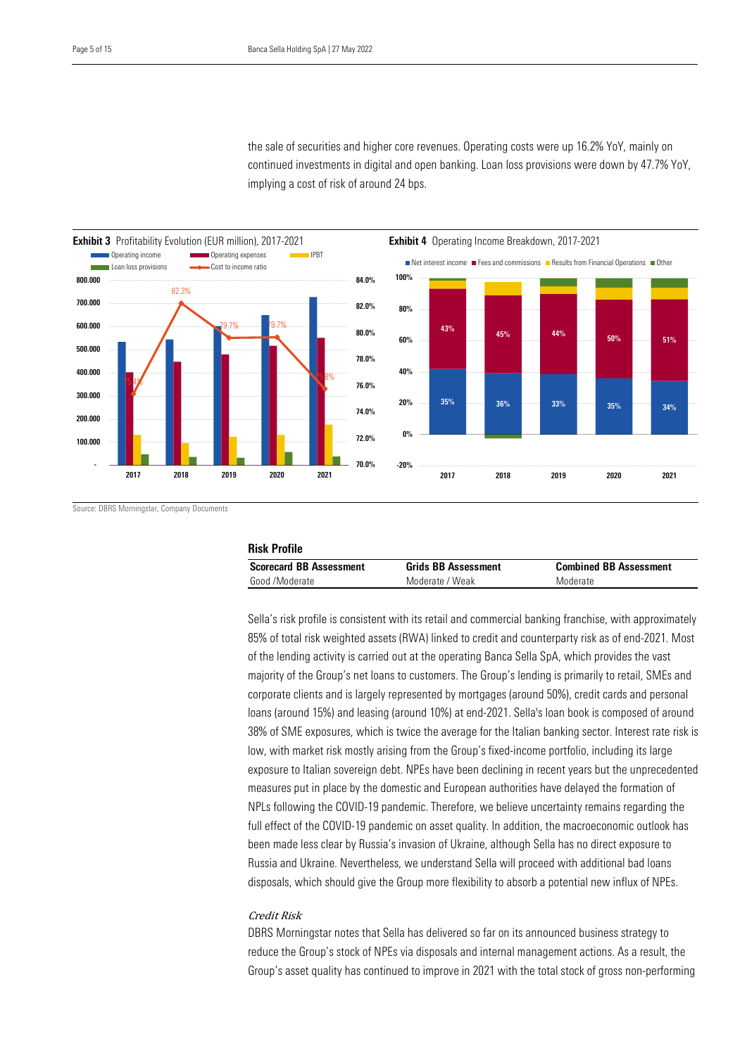continued investments in digital and open banking. Loan loss provisions were down by 47.7% YoY, implying a cost of risk of around 24 bps. the sale of securities and higher core revenues. Operating costs were up 16.2% YoY, mainly on



Source: DBRS Morningstar, Company Documents

| <b>Risk Profile</b>            |                            |                               |  |  |  |  |  |
|--------------------------------|----------------------------|-------------------------------|--|--|--|--|--|
| <b>Scorecard BB Assessment</b> | <b>Grids BB Assessment</b> | <b>Combined BB Assessment</b> |  |  |  |  |  |
| Good /Moderate                 | Moderate / Weak            | Moderate                      |  |  |  |  |  |

Sella's risk profile is consistent with its retail and commercial banking franchise, with approximately 85% of total risk weighted assets (RWA) linked to credit and counterparty risk as of end-2021. Most of the lending activity is carried out at the operating Banca Sella SpA, which provides the vast majority of the Group's net loans to customers. The Group's lending is primarily to retail, SMEs and corporate clients and is largely represented by mortgages (around 50%), credit cards and personal loans (around 15%) and leasing (around 10%) at end-2021. Sella's loan book is composed of around 38% of SME exposures, which is twice the average for the Italian banking sector. Interest rate risk is low, with market risk mostly arising from the Group's fixed-income portfolio, including its large exposure to Italian sovereign debt. NPEs have been declining in recent years but the unprecedented measures put in place by the domestic and European authorities have delayed the formation of NPLs following the COVID-19 pandemic. Therefore, we believe uncertainty remains regarding the full effect of the COVID-19 pandemic on asset quality. In addition, the macroeconomic outlook has been made less clear by Russia's invasion of Ukraine, although Sella has no direct exposure to Russia and Ukraine. Nevertheless, we understand Sella will proceed with additional bad loans disposals, which should give the Group more flexibility to absorb a potential new influx of NPEs.

#### Credit Risk

DBRS Morningstar notes that Sella has delivered so far on its announced business strategy to reduce the Group's stock of NPEs via disposals and internal management actions. As a result, the Group's asset quality has continued to improve in 2021 with the total stock of gross non-performing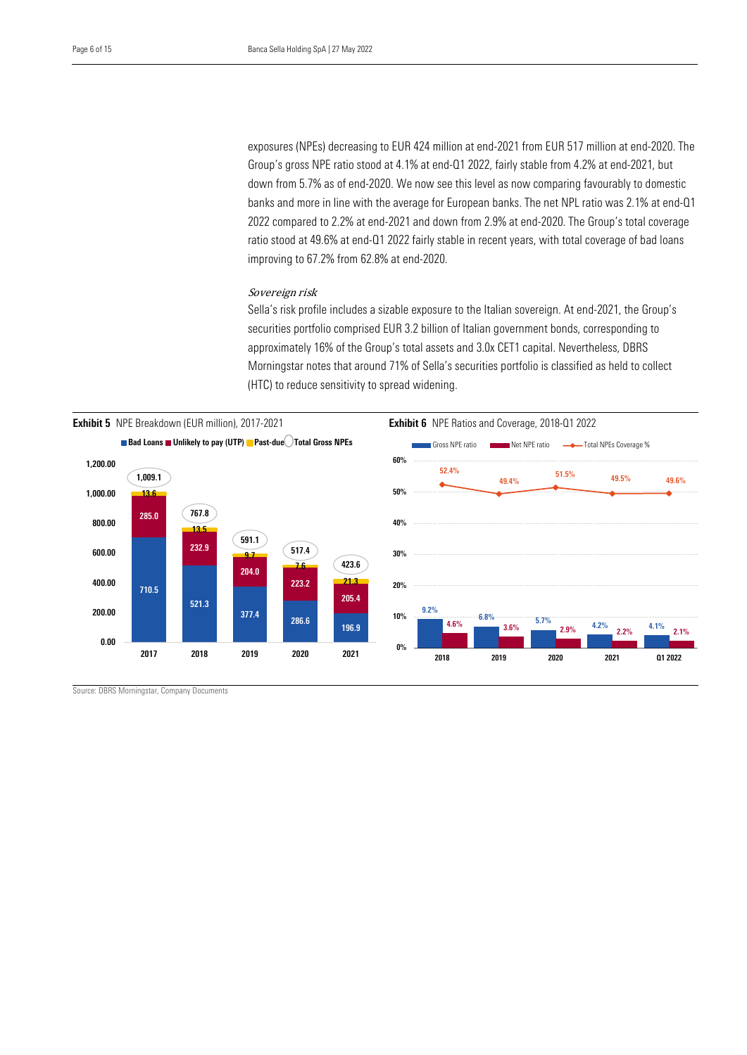Group's gross NPE ratio stood at 4.1% at end-Q1 2022, fairly stable from 4.2% at end-2021, but down from 5.7% as of end-2020. We now see this level as now comparing favourably to domestic 2022 compared to 2.2% at end-2021 and down from 2.9% at end-2020. The Group's total coverage ratio stood at 49.6% at end-Q1 2022 fairly stable in recent years, with total coverage of bad loans exposures (NPEs) decreasing to EUR 424 million at end-2021 from EUR 517 million at end-2020. The banks and more in line with the average for European banks. The net NPL ratio was 2.1% at end-Q1 improving to 67.2% from 62.8% at end-2020.

#### Sovereign risk

Sella's risk profile includes a sizable exposure to the Italian sovereign. At end-2021, the Group's securities portfolio comprised EUR 3.2 billion of Italian government bonds, corresponding to approximately 16% of the Group's total assets and 3.0x CET1 capital. Nevertheless, DBRS Morningstar notes that around 71% of Sella's securities portfolio is classified as held to collect (HTC) to reduce sensitivity to spread widening.



Source: DBRS Morningstar, Company Documents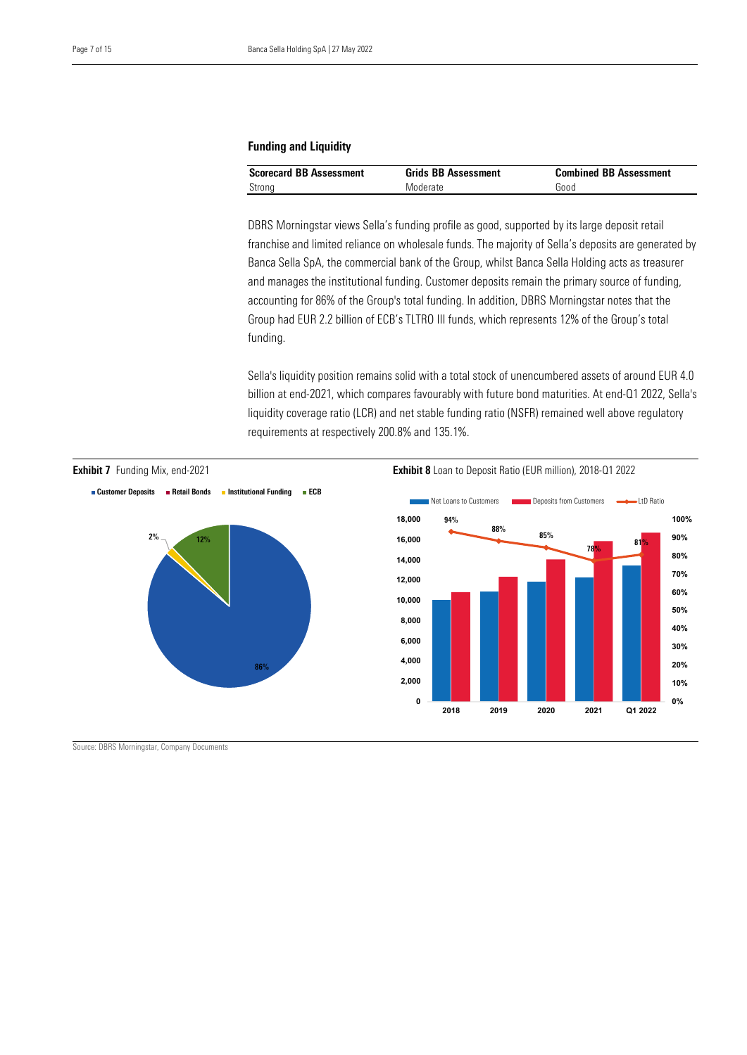#### Funding and Liquidity

| <b>Scorecard BB Assessment</b> | <b>Grids BB Assessment</b> | <b>Combined BB Assessment</b> |
|--------------------------------|----------------------------|-------------------------------|
| Strong                         | Moderate                   | Good                          |

 DBRS Morningstar views Sella's funding profile as good, supported by its large deposit retail franchise and limited reliance on wholesale funds. The majority of Sella's deposits are generated by Banca Sella SpA, the commercial bank of the Group, whilst Banca Sella Holding acts as treasurer and manages the institutional funding. Customer deposits remain the primary source of funding, accounting for 86% of the Group's total funding. In addition, DBRS Morningstar notes that the Group had EUR 2.2 billion of ECB's TLTRO III funds, which represents 12% of the Group's total funding.

Sella's liquidity position remains solid with a total stock of unencumbered assets of around EUR 4.0 billion at end-2021, which compares favourably with future bond maturities. At end-Q1 2022, Sella's liquidity coverage ratio (LCR) and net stable funding ratio (NSFR) remained well above regulatory requirements at respectively 200.8% and 135.1%.



Source: DBRS Morningstar, Company Documents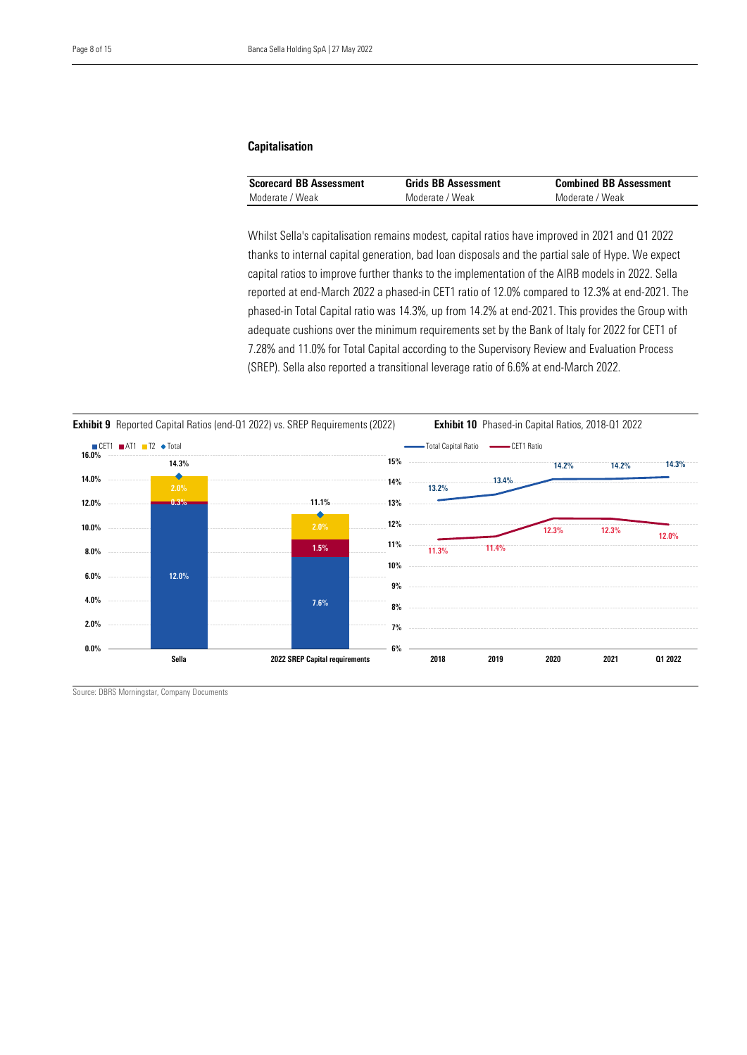#### Capitalisation

| <b>Scorecard BB Assessment</b> | <b>Grids BB Assessment</b> | <b>Combined BB Assessment</b> |
|--------------------------------|----------------------------|-------------------------------|
| Moderate / Weak                | Moderate / Weak            | Moderate / Weak               |

 Whilst Sella's capitalisation remains modest, capital ratios have improved in 2021 and Q1 2022 thanks to internal capital generation, bad loan disposals and the partial sale of Hype. We expect capital ratios to improve further thanks to the implementation of the AIRB models in 2022. Sella reported at end-March 2022 a phased-in CET1 ratio of 12.0% compared to 12.3% at end-2021. The phased-in Total Capital ratio was 14.3%, up from 14.2% at end-2021. This provides the Group with adequate cushions over the minimum requirements set by the Bank of Italy for 2022 for CET1 of 7.28% and 11.0% for Total Capital according to the Supervisory Review and Evaluation Process (SREP). Sella also reported a transitional leverage ratio of 6.6% at end-March 2022.



Source: DBRS Morningstar, Company Documents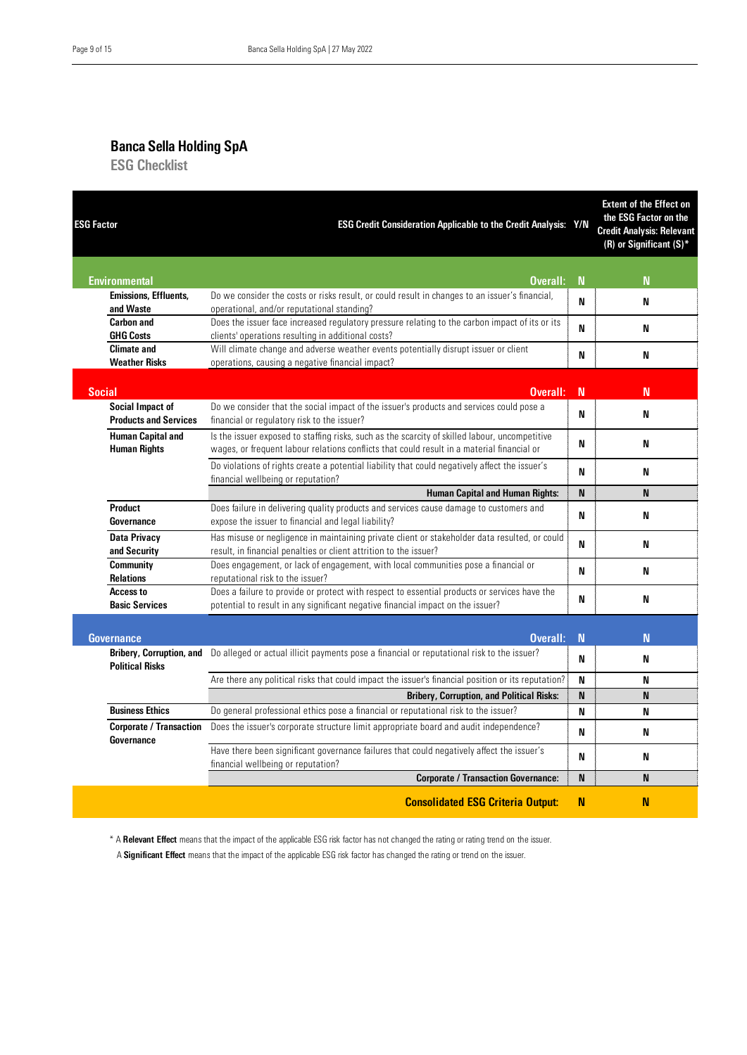## Banca Sella Holding SpA

ESG Checklist

| <b>ESG Factor</b>                            | <b>ESG Credit Consideration Applicable to the Credit Analysis: Y/N</b>                                                                                                          |             | <b>Extent of the Effect on</b><br>the ESG Factor on the<br><b>Credit Analysis: Relevant</b><br>(R) or Significant $(S)^*$ |
|----------------------------------------------|---------------------------------------------------------------------------------------------------------------------------------------------------------------------------------|-------------|---------------------------------------------------------------------------------------------------------------------------|
| <b>Environmental</b>                         | Overall:                                                                                                                                                                        | N           | N                                                                                                                         |
| <b>Emissions, Effluents,</b>                 | Do we consider the costs or risks result, or could result in changes to an issuer's financial,                                                                                  | N           |                                                                                                                           |
| and Waste                                    | operational, and/or reputational standing?                                                                                                                                      |             | N                                                                                                                         |
| <b>Carbon and</b>                            | Does the issuer face increased regulatory pressure relating to the carbon impact of its or its                                                                                  | N           | N                                                                                                                         |
| <b>GHG Costs</b>                             | clients' operations resulting in additional costs?                                                                                                                              |             |                                                                                                                           |
| <b>Climate and</b>                           | Will climate change and adverse weather events potentially disrupt issuer or client                                                                                             | N           | N                                                                                                                         |
| <b>Weather Risks</b>                         | operations, causing a negative financial impact?                                                                                                                                |             |                                                                                                                           |
| <b>Social</b>                                | Overall:                                                                                                                                                                        | N           | N                                                                                                                         |
| <b>Social Impact of</b>                      | Do we consider that the social impact of the issuer's products and services could pose a                                                                                        |             |                                                                                                                           |
| <b>Products and Services</b>                 | financial or regulatory risk to the issuer?                                                                                                                                     | N           | N                                                                                                                         |
| <b>Human Capital and</b>                     | Is the issuer exposed to staffing risks, such as the scarcity of skilled labour, uncompetitive                                                                                  |             |                                                                                                                           |
| <b>Human Rights</b>                          | wages, or frequent labour relations conflicts that could result in a material financial or                                                                                      | N           | N                                                                                                                         |
|                                              | Do violations of rights create a potential liability that could negatively affect the issuer's                                                                                  | N           | N                                                                                                                         |
|                                              | financial wellbeing or reputation?                                                                                                                                              |             |                                                                                                                           |
|                                              | <b>Human Capital and Human Rights:</b>                                                                                                                                          | N           | <b>N</b>                                                                                                                  |
| <b>Product</b>                               | Does failure in delivering quality products and services cause damage to customers and                                                                                          | N           | N                                                                                                                         |
| Governance                                   | expose the issuer to financial and legal liability?                                                                                                                             |             |                                                                                                                           |
| <b>Data Privacy</b>                          | Has misuse or negligence in maintaining private client or stakeholder data resulted, or could                                                                                   | N           | N                                                                                                                         |
| and Security                                 | result, in financial penalties or client attrition to the issuer?                                                                                                               |             |                                                                                                                           |
| <b>Community</b><br><b>Relations</b>         | Does engagement, or lack of engagement, with local communities pose a financial or<br>reputational risk to the issuer?                                                          | N           | N                                                                                                                         |
| Access to<br><b>Basic Services</b>           | Does a failure to provide or protect with respect to essential products or services have the<br>potential to result in any significant negative financial impact on the issuer? | N           | N                                                                                                                         |
|                                              |                                                                                                                                                                                 |             |                                                                                                                           |
| <b>Governance</b>                            | Overall:                                                                                                                                                                        | $\mathbf N$ | N                                                                                                                         |
| <b>Political Risks</b>                       | <b>Bribery, Corruption, and</b> Do alleged or actual illicit payments pose a financial or reputational risk to the issuer?                                                      | N           | N                                                                                                                         |
|                                              | Are there any political risks that could impact the issuer's financial position or its reputation?                                                                              | N           | N                                                                                                                         |
|                                              | <b>Bribery, Corruption, and Political Risks:</b>                                                                                                                                | N           | N                                                                                                                         |
| <b>Business Ethics</b>                       | Do general professional ethics pose a financial or reputational risk to the issuer?                                                                                             | N           | N                                                                                                                         |
| <b>Corporate / Transaction</b><br>Governance | Does the issuer's corporate structure limit appropriate board and audit independence?                                                                                           | N           | N                                                                                                                         |
|                                              | Have there been significant governance failures that could negatively affect the issuer's<br>financial wellbeing or reputation?                                                 | N           | N                                                                                                                         |
|                                              | <b>Corporate / Transaction Governance:</b>                                                                                                                                      | N           | N                                                                                                                         |
|                                              | <b>Consolidated ESG Criteria Output:</b>                                                                                                                                        | N           | N                                                                                                                         |

\* A Relevant Effect means that the impact of the applicable ESG risk factor has not changed the rating or rating trend on the issuer.

A Significant Effect means that the impact of the applicable ESG risk factor has changed the rating or trend on the issuer.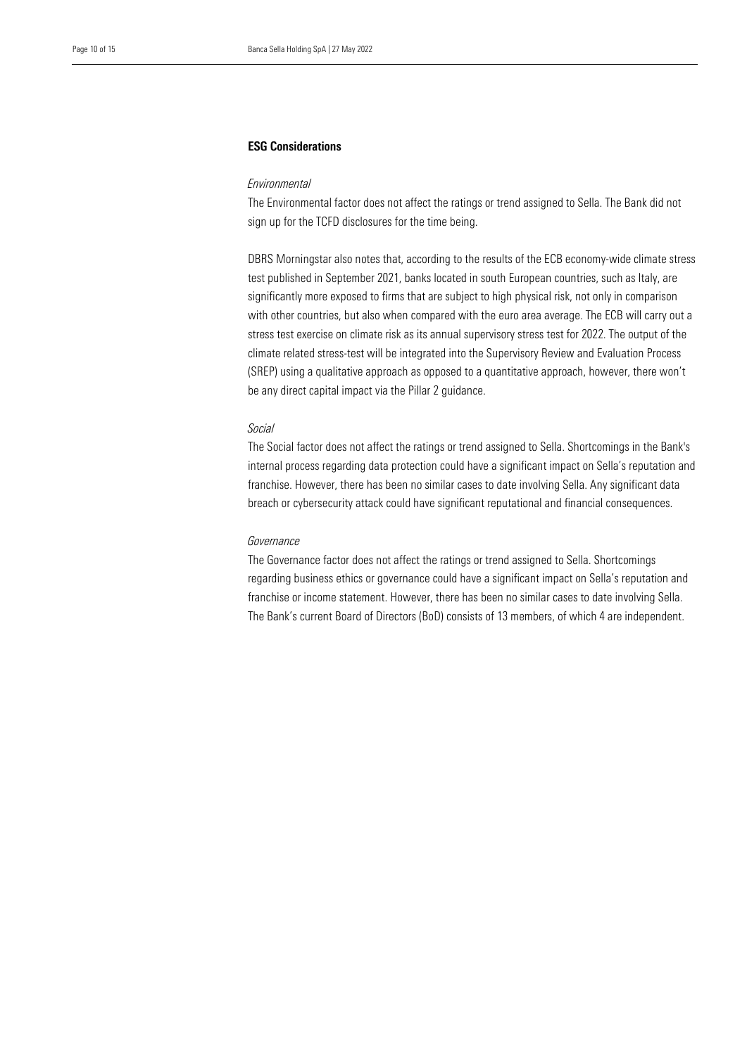#### ESG Considerations

#### *Environmental*

 sign up for the TCFD disclosures for the time being. The Environmental factor does not affect the ratings or trend assigned to Sella. The Bank did not

DBRS Morningstar also notes that, according to the results of the ECB economy-wide climate stress test published in September 2021, banks located in south European countries, such as Italy, are significantly more exposed to firms that are subject to high physical risk, not only in comparison with other countries, but also when compared with the euro area average. The ECB will carry out a stress test exercise on climate risk as its annual supervisory stress test for 2022. The output of the climate related stress-test will be integrated into the Supervisory Review and Evaluation Process (SREP) using a qualitative approach as opposed to a quantitative approach, however, there won't be any direct capital impact via the Pillar 2 guidance.

#### *Social*

The Social factor does not affect the ratings or trend assigned to Sella. Shortcomings in the Bank's internal process regarding data protection could have a significant impact on Sella's reputation and franchise. However, there has been no similar cases to date involving Sella. Any significant data breach or cybersecurity attack could have significant reputational and financial consequences.

#### *Governance*

The Governance factor does not affect the ratings or trend assigned to Sella. Shortcomings regarding business ethics or governance could have a significant impact on Sella's reputation and franchise or income statement. However, there has been no similar cases to date involving Sella. The Bank's current Board of Directors (BoD) consists of 13 members, of which 4 are independent.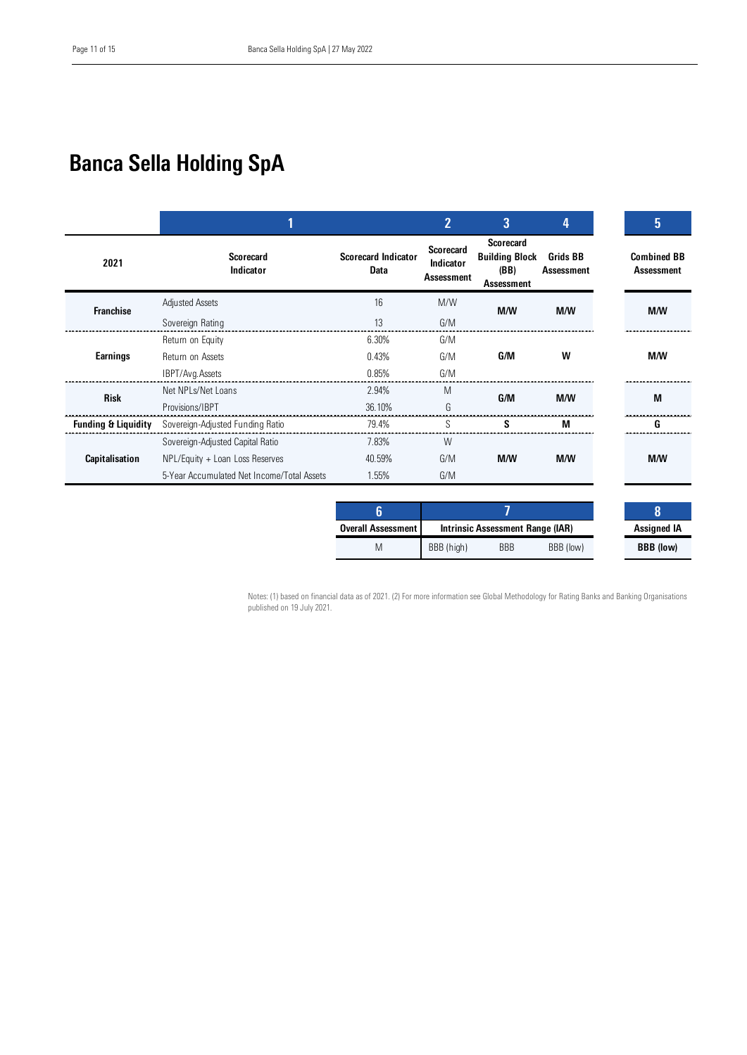## Banca Sella Holding SpA

|                                |                                            |                                           | $\overline{2}$                                     | 3                                                                      | 4                                    | 5                                |
|--------------------------------|--------------------------------------------|-------------------------------------------|----------------------------------------------------|------------------------------------------------------------------------|--------------------------------------|----------------------------------|
| 2021                           | <b>Scorecard</b><br>Indicator              | <b>Scorecard Indicator</b><br><b>Data</b> | <b>Scorecard</b><br>Indicator<br><b>Assessment</b> | <b>Scorecard</b><br><b>Building Block</b><br>(BB)<br><b>Assessment</b> | <b>Grids BB</b><br><b>Assessment</b> | <b>Combined BB</b><br>Assessment |
| <b>Franchise</b>               | <b>Adjusted Assets</b>                     | 16                                        | M/W                                                | M/M                                                                    | M/W                                  | M/M                              |
|                                | Sovereign Rating                           | 13                                        | G/M                                                |                                                                        |                                      |                                  |
|                                | Return on Equity                           | 6.30%                                     | G/M                                                |                                                                        |                                      |                                  |
| Earnings                       | Return on Assets                           | 0.43%                                     | G/M                                                | G/M                                                                    | W                                    | <b>M/W</b>                       |
|                                | IBPT/Avg.Assets                            | 0.85%                                     | G/M                                                |                                                                        |                                      |                                  |
| <b>Risk</b>                    | Net NPI s/Net Loans                        | 2.94%                                     | M                                                  | G/M                                                                    | M/M                                  | M                                |
|                                | Provisions/IBPT                            | 36.10%                                    | G                                                  |                                                                        |                                      |                                  |
| <b>Funding &amp; Liquidity</b> | Sovereign-Adjusted Funding Ratio           | 79.4%                                     | S                                                  | s                                                                      | М                                    |                                  |
|                                | Sovereign-Adjusted Capital Ratio           | 7.83%                                     | W                                                  |                                                                        |                                      |                                  |
| Capitalisation                 | NPL/Equity + Loan Loss Reserves            | 40.59%                                    | G/M                                                | M/W                                                                    | <b>M/W</b>                           | M/W                              |
|                                | 5-Year Accumulated Net Income/Total Assets | 1.55%                                     | G/M                                                |                                                                        |                                      |                                  |

| <b>Overall Assessment</b> | Intrinsic Assessment Range (IAR) |            |           | <b>Assigned IA</b> |
|---------------------------|----------------------------------|------------|-----------|--------------------|
| M                         | BBB (high)                       | <b>BBB</b> | BBB (low) | <b>BBB</b> (low)   |

Notes: (1) based on financial data as of 2021. (2) For more information see Global Methodology for Rating Banks and Banking Organisations published on 19 July 2021.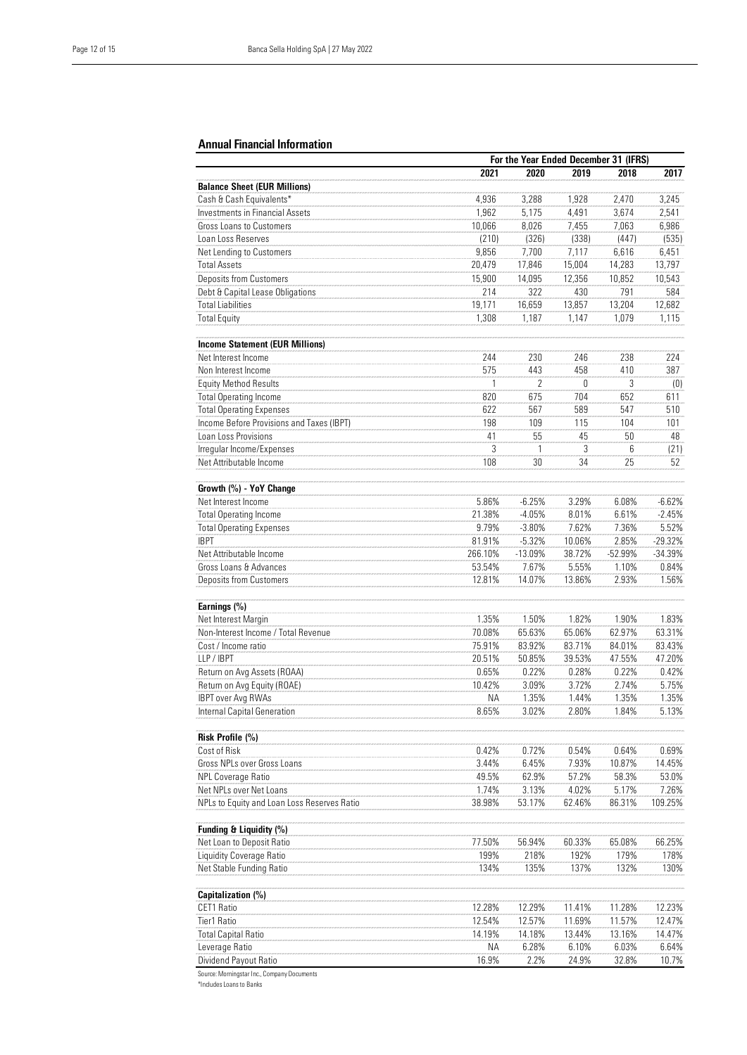#### Annual Financial Information

|                                             |         | For the Year Ended December 31 (IFRS) |        |           |           |
|---------------------------------------------|---------|---------------------------------------|--------|-----------|-----------|
|                                             | 2021    | 2020                                  | 2019   | 2018      | 2017      |
| <b>Balance Sheet (EUR Millions)</b>         |         |                                       |        |           |           |
| Cash & Cash Equivalents*                    | 4,936   | 3.288                                 | 1,928  | 2.470     | 3,245     |
| <b>Investments in Financial Assets</b>      | 1,962   | 5,175                                 | 4,491  | 3,674     | 2,541     |
| <b>Gross Loans to Customers</b>             | 10,066  | 8,026                                 | 7,455  | 7,063     | 6,986     |
| Loan Loss Reserves                          | (210)   | (326)                                 | (338)  | (447)     | (535)     |
| Net Lending to Customers                    | 9,856   | 7,700                                 | 7,117  | 6,616     | 6,451     |
| <b>Total Assets</b>                         | 20,479  | 17,846                                | 15,004 | 14,283    | 13,797    |
| Deposits from Customers                     | 15,900  | 14,095                                | 12,356 | 10,852    | 10,543    |
| Debt & Capital Lease Obligations            | 214     | 322                                   | 430    | 791       | 584       |
| <b>Total Liabilities</b>                    | 19,171  | 16,659                                | 13,857 | 13,204    | 12,682    |
| <b>Total Equity</b>                         | 1,308   | 1,187                                 | 1,147  | 1,079     | 1,115     |
|                                             |         |                                       |        |           |           |
| <b>Income Statement (EUR Millions)</b>      |         |                                       |        |           |           |
| Net Interest Income                         | 244     | 230                                   | 246    | 238       | 224       |
| Non Interest Income                         | 575     | 443                                   | 458    | 410       | 387       |
| <b>Equity Method Results</b>                | 1       | $\overline{2}$                        | 0      | 3         | (0)       |
| <b>Total Operating Income</b>               | 820     | 675                                   | 704    | 652       | 611       |
| <b>Total Operating Expenses</b>             | 622     | 567                                   | 589    | 547       | 510       |
| Income Before Provisions and Taxes (IBPT)   | 198     | 109                                   | 115    | 104       | 101       |
| Loan Loss Provisions                        | 41      | 55                                    | 45     | 50        | 48        |
| Irregular Income/Expenses                   | 3       | 1                                     | 3      | 6         | (21)      |
| Net Attributable Income                     | 108     | 30                                    | 34     | 25        | 52        |
|                                             |         |                                       |        |           |           |
| Growth (%) - YoY Change                     |         |                                       |        |           |           |
| Net Interest Income                         | 5.86%   | $-6.25%$                              | 3.29%  | 6.08%     | $-6.62%$  |
| <b>Total Operating Income</b>               | 21.38%  | $-4.05%$                              | 8.01%  | 6.61%     | $-2.45%$  |
| <b>Total Operating Expenses</b>             | 9.79%   | $-3.80%$                              | 7.62%  | 7.36%     | 5.52%     |
| <b>IBPT</b>                                 |         |                                       |        |           |           |
|                                             | 81.91%  | $-5.32%$                              | 10.06% | 2.85%     | $-29.32%$ |
| Net Attributable Income                     | 266.10% | $-13.09%$                             | 38.72% | $-52.99%$ | $-34.39%$ |
| Gross Loans & Advances                      | 53.54%  | 7.67%                                 | 5.55%  | 1.10%     | 0.84%     |
| <b>Deposits from Customers</b>              | 12.81%  | 14.07%                                | 13.86% | 2.93%     | 1.56%     |
|                                             |         |                                       |        |           |           |
| Earnings (%)                                | 1.35%   |                                       | 1.82%  | 1.90%     | 1.83%     |
| Net Interest Margin                         |         | 1.50%                                 |        |           |           |
| Non-Interest Income / Total Revenue         | 70.08%  | 65.63%                                | 65.06% | 62.97%    | 63.31%    |
| Cost / Income ratio                         | 75.91%  | 83.92%                                | 83.71% | 84.01%    | 83.43%    |
| LLP / IBPT                                  | 20.51%  | 50.85%                                | 39.53% | 47.55%    | 47.20%    |
| Return on Avg Assets (ROAA)                 | 0.65%   | 0.22%                                 | 0.28%  | 0.22%     | 0.42%     |
| Return on Avg Equity (ROAE)                 | 10.42%  | 3.09%                                 | 3.72%  | 2.74%     | 5.75%     |
| <b>IBPT over Avg RWAs</b>                   | ΝA      | 1.35%                                 | 1.44%  | 1.35%     | 1.35%     |
| <b>Internal Capital Generation</b>          | 8.65%   | 3.02%                                 | 2.80%  | 1.84%     | 5.13%     |
|                                             |         |                                       |        |           |           |
| Risk Profile (%)                            |         |                                       |        |           |           |
| Cost of Risk                                | 0.42%   | 0.72%                                 | 0.54%  | 0.64%     | 0.69%     |
| Gross NPLs over Gross Loans                 | 3.44%   | 6.45%                                 | 7.93%  | 10.87%    | 14.45%    |
| <b>NPL Coverage Ratio</b>                   | 49.5%   | 62.9%                                 | 57.2%  | 58.3%     | 53.0%     |
| Net NPLs over Net Loans                     | 1.74%   | 3.13%                                 | 4.02%  | 5.17%     | 7.26%     |
| NPLs to Equity and Loan Loss Reserves Ratio | 38.98%  | 53.17%                                | 62.46% | 86.31%    | 109.25%   |
|                                             |         |                                       |        |           |           |
| Funding & Liquidity (%)                     |         |                                       |        |           |           |
| Net Loan to Deposit Ratio                   | 77.50%  | 56.94%                                | 60.33% | 65.08%    | 66.25%    |
| Liquidity Coverage Ratio                    | 199%    | 218%                                  | 192%   | 179%      | 178%      |
| Net Stable Funding Ratio                    | 134%    | 135%                                  | 137%   | 132%      | 130%      |
|                                             |         |                                       |        |           |           |
| Capitalization (%)                          |         |                                       |        |           |           |
| CET1 Ratio                                  | 12.28%  | 12.29%                                | 11.41% | 11.28%    | 12.23%    |
| Tier1 Ratio                                 | 12.54%  | 12.57%                                | 11.69% | 11.57%    | 12.47%    |
| <b>Total Capital Ratio</b>                  | 14.19%  | 14.18%                                | 13.44% | 13.16%    | 14.47%    |
| Leverage Ratio                              | ΝA      | 6.28%                                 | 6.10%  | 6.03%     | 6.64%     |
| Dividend Payout Ratio                       | 16.9%   | 2.2%                                  | 24.9%  | 32.8%     | 10.7%     |
| Source: Morningstar Inc., Company Documents |         |                                       |        |           |           |

\*Includes Loans to Banks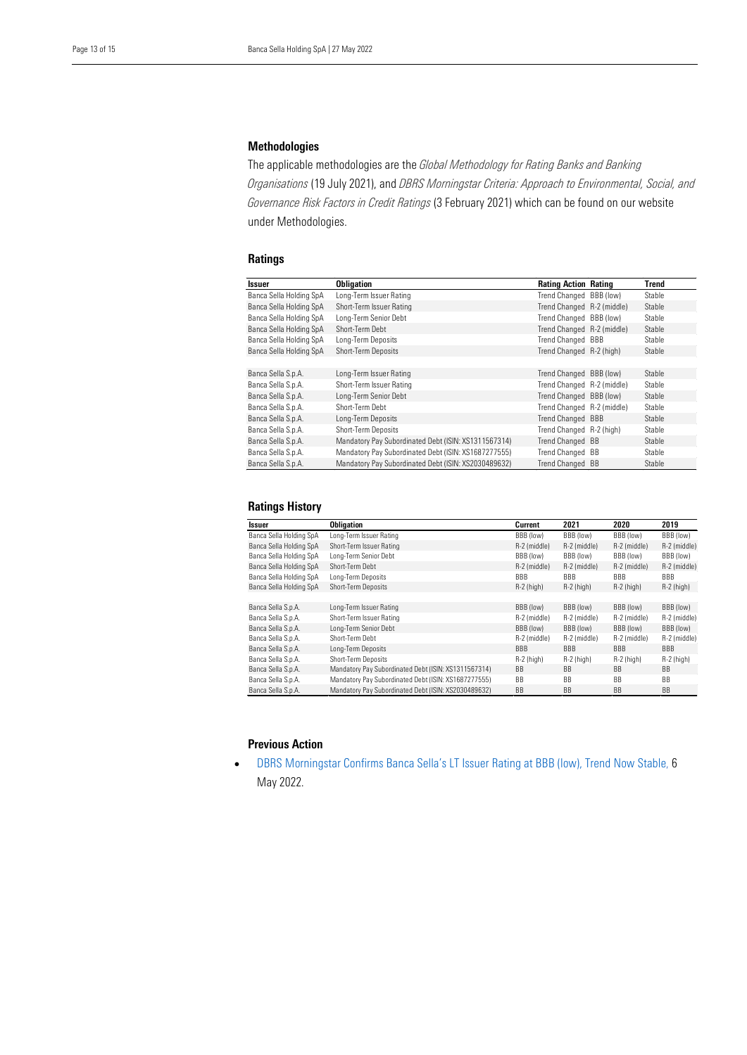#### Methodologies

 The applicable methodologies are the *Global Methodology for Rating Banks and Banking Organisations* (19 July 2021), and *DBRS Morningstar Criteria: Approach to Environmental, Social, and*  under Methodologies. *Governance Risk Factors in Credit Ratings* (3 February 2021) which can be found on our website

#### **Ratings**

| Issuer                  | <b>Obligation</b>                                    | <b>Rating Action Rating</b> | Trend  |
|-------------------------|------------------------------------------------------|-----------------------------|--------|
| Banca Sella Holding SpA | Long-Term Issuer Rating                              | Trend Changed BBB (low)     | Stable |
| Banca Sella Holding SpA | Short-Term Issuer Rating                             | Trend Changed R-2 (middle)  | Stable |
| Banca Sella Holding SpA | Long-Term Senior Debt                                | Trend Changed BBB (low)     | Stable |
| Banca Sella Holding SpA | Short-Term Debt                                      | Trend Changed R-2 (middle)  | Stable |
| Banca Sella Holding SpA | Long-Term Deposits                                   | Trend Changed BBB           | Stable |
| Banca Sella Holding SpA | Short-Term Deposits                                  | Trend Changed R-2 (high)    | Stable |
|                         |                                                      |                             |        |
| Banca Sella S.p.A.      | Long-Term Issuer Rating                              | Trend Changed BBB (low)     | Stable |
| Banca Sella S.p.A.      | Short-Term Issuer Rating                             | Trend Changed R-2 (middle)  | Stable |
| Banca Sella S.p.A.      | Long-Term Senior Debt                                | Trend Changed BBB (low)     | Stable |
| Banca Sella S.p.A.      | Short-Term Debt                                      | Trend Changed R-2 (middle)  | Stable |
| Banca Sella S.p.A.      | Long-Term Deposits                                   | Trend Changed BBB           | Stable |
| Banca Sella S.p.A.      | Short-Term Deposits                                  | Trend Changed R-2 (high)    | Stable |
| Banca Sella S.p.A.      | Mandatory Pay Subordinated Debt (ISIN: XS1311567314) | Trend Changed BB            | Stable |
| Banca Sella S.p.A.      | Mandatory Pay Subordinated Debt (ISIN: XS1687277555) | Trend Changed BB            | Stable |
| Banca Sella S.p.A.      | Mandatory Pay Subordinated Debt (ISIN: XS2030489632) | Trend Changed BB            | Stable |

#### Ratings History

| Issuer                  | <b>Obligation</b>                                    | Current      | 2021         | 2020         | 2019           |
|-------------------------|------------------------------------------------------|--------------|--------------|--------------|----------------|
| Banca Sella Holding SpA | Long-Term Issuer Rating                              | BBB (low)    | BBB (low)    | BBB (low)    | BBB (low)      |
| Banca Sella Holding SpA | Short-Term Issuer Rating                             | R-2 (middle) | R-2 (middle) | R-2 (middle) | R-2 (middle)   |
| Banca Sella Holding SpA | Long-Term Senior Debt                                | BBB (low)    | BBB (low)    | BBB (low)    | BBB (low)      |
| Banca Sella Holding SpA | Short-Term Debt                                      | R-2 (middle) | R-2 (middle) | R-2 (middle) | R-2 (middle)   |
| Banca Sella Holding SpA | Long-Term Deposits                                   | <b>BBB</b>   | <b>BBB</b>   | <b>BBB</b>   | BBB            |
| Banca Sella Holding SpA | Short-Term Deposits                                  | $R-2$ (high) | $R-2$ (high) | $R-2$ (high) | $R-2$ (high)   |
|                         |                                                      |              |              |              |                |
| Banca Sella S.p.A.      | Long-Term Issuer Rating                              | BBB (low)    | BBB (low)    | BBB (low)    | BBB (low)      |
| Banca Sella S.p.A.      | Short-Term Issuer Rating                             | R-2 (middle) | R-2 (middle) | R-2 (middle) | R-2 (middle)   |
| Banca Sella S.p.A.      | Long-Term Senior Debt                                | BBB (low)    | BBB (low)    | BBB (low)    | BBB (low)      |
| Banca Sella S.p.A.      | Short-Term Debt                                      | R-2 (middle) | R-2 (middle) | R-2 (middle) | R-2 (middle)   |
| Banca Sella S.p.A.      | Long-Term Deposits                                   | BBB          | <b>BBB</b>   | <b>BBB</b>   | <b>BBB</b>     |
| Banca Sella S.p.A.      | Short-Term Deposits                                  | $R-2$ (high) | $R-2$ (high) | $R-2$ (high) | $R-2$ (high)   |
| Banca Sella S.p.A.      | Mandatory Pay Subordinated Debt (ISIN: XS1311567314) | <b>BB</b>    | <b>BB</b>    | <b>BB</b>    | B <sub>B</sub> |
| Banca Sella S.p.A.      | Mandatory Pay Subordinated Debt (ISIN: XS1687277555) | BB           | <b>BB</b>    | <b>BB</b>    | BB             |
| Banca Sella S.p.A.      | Mandatory Pay Subordinated Debt (ISIN: XS2030489632) | BB           | <b>BB</b>    | <b>BB</b>    | <b>BB</b>      |

#### Previous Action

• [DBRS Morningstar Confirms Banca Sella's LT Issuer Rating at BBB \(low\), Trend Now Stable,](https://www.dbrsmorningstar.com/research/396480/dbrs-morningstar-confirms-banca-sellas-lt-issuer-rating-at-bbb-low-trend-now-stable) 6 May 2022.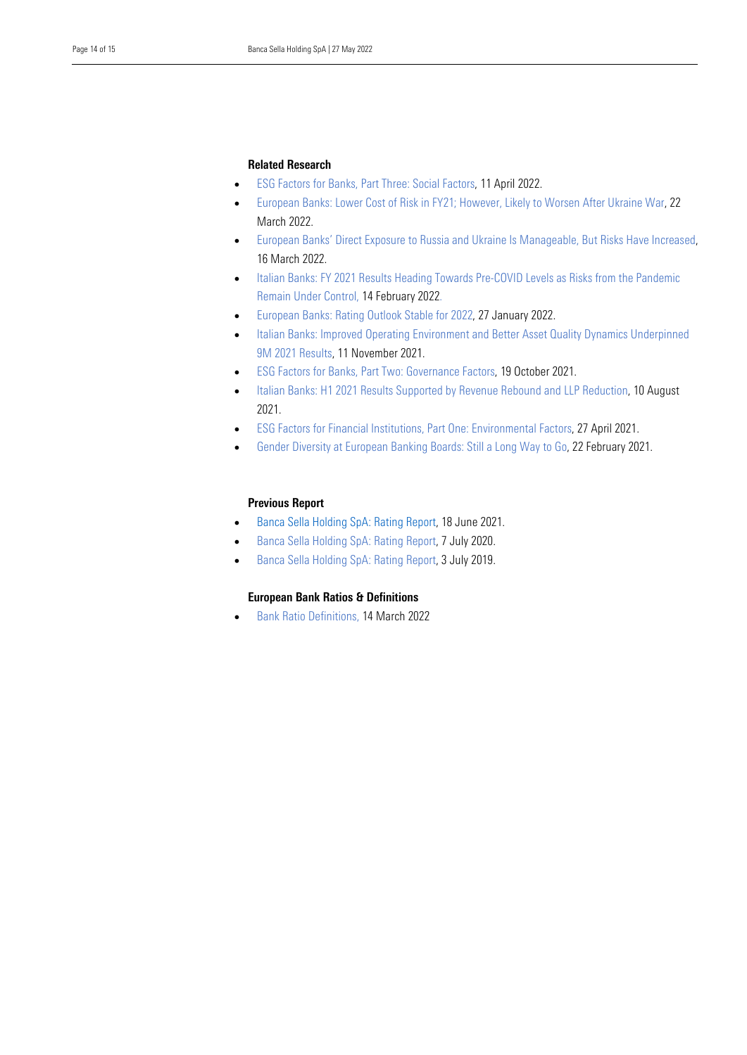### Related Research

- [ESG Factors for Banks, Part Three: Social Factors,](https://www.dbrsmorningstar.com/research/395018/esg-factors-for-banks-part-three-social-factors) 11 April 2022.
- March 2022. • [European Banks: Lower Cost of Risk in FY21; However, Likely to Worsen After Ukraine War,](https://www.dbrsmorningstar.com/research/393979/european-banks-lower-cost-of-risk-in-fy21-however-likely-to-worsen-after-ukraine-war) 22
- • [European Banks' Direct Exposure to Russia and Ukraine Is Manageable, But Risks Have Increased,](https://www.dbrsmorningstar.com/research/393735/european-banks-direct-exposure-to-russia-and-ukraine-is-manageable-but-risks-have-increased)  16 March 2022.
- [Italian Banks: FY 2021 Results Heading Towards Pre-COVID Levels as Risks from the Pandemic](https://www.dbrsmorningstar.com/research/392265/italian-banks-fy-2021-results-heading-towards-pre-covid-levels-as-risks-from-the-pandemic-remain-under-control)  [Remain Under Control,](https://www.dbrsmorningstar.com/research/392265/italian-banks-fy-2021-results-heading-towards-pre-covid-levels-as-risks-from-the-pandemic-remain-under-control) 14 February 2022.
- [European Banks: Rating Outlook Stable for 2022,](https://www.dbrsmorningstar.com/research/391246/european-banks-rating-outlook-stable-for-2022) 27 January 2022.
- [Italian Banks: Improved Operating Environment and Better Asset Quality Dynamics Underpinned](https://www.dbrsmorningstar.com/research/387863/italian-banks-improved-operating-environment-and-better-asset-quality-dynamics-underpinned-9m-2021-results)  [9M 2021 Results,](https://www.dbrsmorningstar.com/research/387863/italian-banks-improved-operating-environment-and-better-asset-quality-dynamics-underpinned-9m-2021-results) 11 November 2021.
- [ESG Factors for Banks, Part Two: Governance Factors,](https://www.dbrsmorningstar.com/research/386141/esg-factors-for-banks-part-two-governance-factors) 19 October 2021.
- [Italian Banks: H1 2021 Results Supported by Revenue Rebound and LLP Reduction,](https://www.dbrsmorningstar.com/research/382842/italian-banks-h1-2021-results-supported-by-revenue-rebound-and-llp-reduction) 10 August 2021.
- [ESG Factors for Financial Institutions, Part One: Environmental Factors,](https://www.dbrsmorningstar.com/research/377394/esg-factors-for-financial-institutions-part-one-environmental-factors) 27 April 2021.
- [Gender Diversity at European Banking Boards: Still a Long Way to Go,](https://www.dbrsmorningstar.com/research/373925/gender-diversity-at-european-banking-boards-still-a-long-way-to-go) 22 February 2021.

#### Previous Report

- [Banca Sella Holding SpA: Rating Report,](https://www.dbrsmorningstar.com/research/380286/banca-sella-holding-spa-rating-report) 18 June 2021.
- [Banca Sella Holding SpA: Rating Report,](https://www.dbrsmorningstar.com/research/363534/banca-sella-holding-spa-rating-report) 7 July 2020.
- [Banca Sella Holding SpA: Rating Report,](https://www.dbrsmorningstar.com/research/347666/banca-sella-holding-spa-rating-report) 3 July 2019.

#### European Bank Ratios & Definitions

• [Bank Ratio Definitions,](https://www.dbrsmorningstar.com/research/393682/bank-ratio-definitions) 14 March 2022